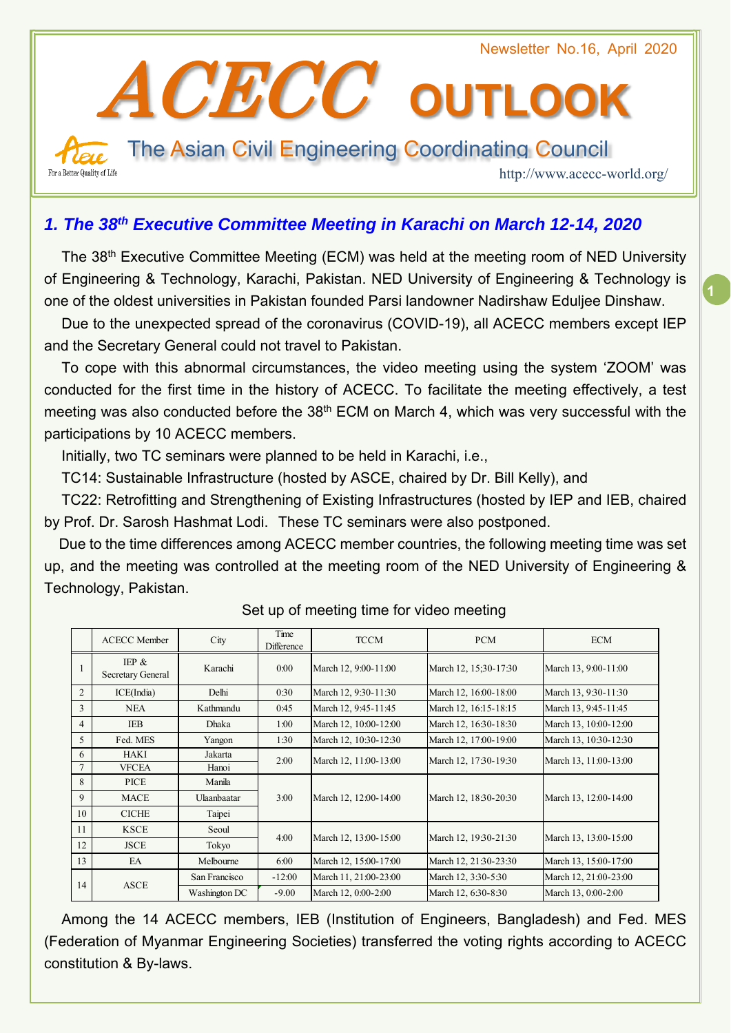Newsletter No.16, April 2020 ACECC**OUTLOOK**  The Asian Civil Engineering Coordinating Council For a Better Quality of Life http://www.acecc-world.org/

# *1. The 38th Executive Committee Meeting in Karachi on March 12-14, 2020*

The 38<sup>th</sup> Executive Committee Meeting (ECM) was held at the meeting room of NED University of Engineering & Technology, Karachi, Pakistan. NED University of Engineering & Technology is one of the oldest universities in Pakistan founded Parsi landowner Nadirshaw Eduljee Dinshaw.

Due to the unexpected spread of the coronavirus (COVID-19), all ACECC members except IEP and the Secretary General could not travel to Pakistan.

To cope with this abnormal circumstances, the video meeting using the system 'ZOOM' was conducted for the first time in the history of ACECC. To facilitate the meeting effectively, a test meeting was also conducted before the  $38<sup>th</sup>$  ECM on March 4, which was very successful with the participations by 10 ACECC members.

Initially, two TC seminars were planned to be held in Karachi, i.e.,

TC14: Sustainable Infrastructure (hosted by ASCE, chaired by Dr. Bill Kelly), and

TC22: Retrofitting and Strengthening of Existing Infrastructures (hosted by IEP and IEB, chaired by Prof. Dr. Sarosh Hashmat Lodi. These TC seminars were also postponed.

Due to the time differences among ACECC member countries, the following meeting time was set up, and the meeting was controlled at the meeting room of the NED University of Engineering & Technology, Pakistan.

| <b>ACECC Member</b>           | City          | Time<br>Difference | <b>TCCM</b>           | <b>PCM</b>            | <b>ECM</b>            |
|-------------------------------|---------------|--------------------|-----------------------|-----------------------|-----------------------|
| IEP $\&$<br>Secretary General | Karachi       | 0:00               | March 12, 9:00-11:00  | March 12, 15:30-17:30 | March 13, 9:00-11:00  |
| ICE(India)                    | Delhi         | 0:30               | March 12, 9:30-11:30  | March 12, 16:00-18:00 | March 13, 9:30-11:30  |
| <b>NEA</b>                    | Kathmandu     | 0:45               | March 12, 9:45-11:45  | March 12, 16:15-18:15 | March 13, 9:45-11:45  |
| <b>IEB</b>                    | <b>Dhaka</b>  | 1:00               | March 12, 10:00-12:00 | March 12, 16:30-18:30 | March 13, 10:00-12:00 |
| Fed. MES                      | Yangon        | 1:30               | March 12, 10:30-12:30 | March 12, 17:00-19:00 | March 13, 10:30-12:30 |
| <b>HAKI</b>                   | Jakarta       | 2:00               | March 12, 11:00-13:00 | March 12, 17:30-19:30 | March 13, 11:00-13:00 |
| <b>VFCEA</b>                  | Hanoi         |                    |                       |                       |                       |
| <b>PICE</b>                   | Manila        | 3:00               | March 12, 12:00-14:00 | March 12, 18:30-20:30 | March 13, 12:00-14:00 |
| MACE                          | Ulaanbaatar   |                    |                       |                       |                       |
| <b>CICHE</b>                  | Taipei        |                    |                       |                       |                       |
| <b>KSCE</b>                   | Seoul         | 4:00               | March 12, 13:00-15:00 | March 12, 19:30-21:30 | March 13, 13:00-15:00 |
| <b>JSCE</b>                   | Tokyo         |                    |                       |                       |                       |
| EA                            | Melbourne     | 6:00               | March 12, 15:00-17:00 | March 12, 21:30-23:30 | March 13, 15:00-17:00 |
|                               | San Francisco | $-12:00$           | March 11, 21:00-23:00 | March 12, 3:30-5:30   | March 12, 21:00-23:00 |
|                               | Washington DC | $-9.00$            | March 12, 0:00-2:00   | March 12, 6:30-8:30   | March 13, 0:00-2:00   |
|                               | <b>ASCE</b>   |                    |                       |                       |                       |

### Set up of meeting time for video meeting

Among the 14 ACECC members, IEB (Institution of Engineers, Bangladesh) and Fed. MES (Federation of Myanmar Engineering Societies) transferred the voting rights according to ACECC constitution & By-laws.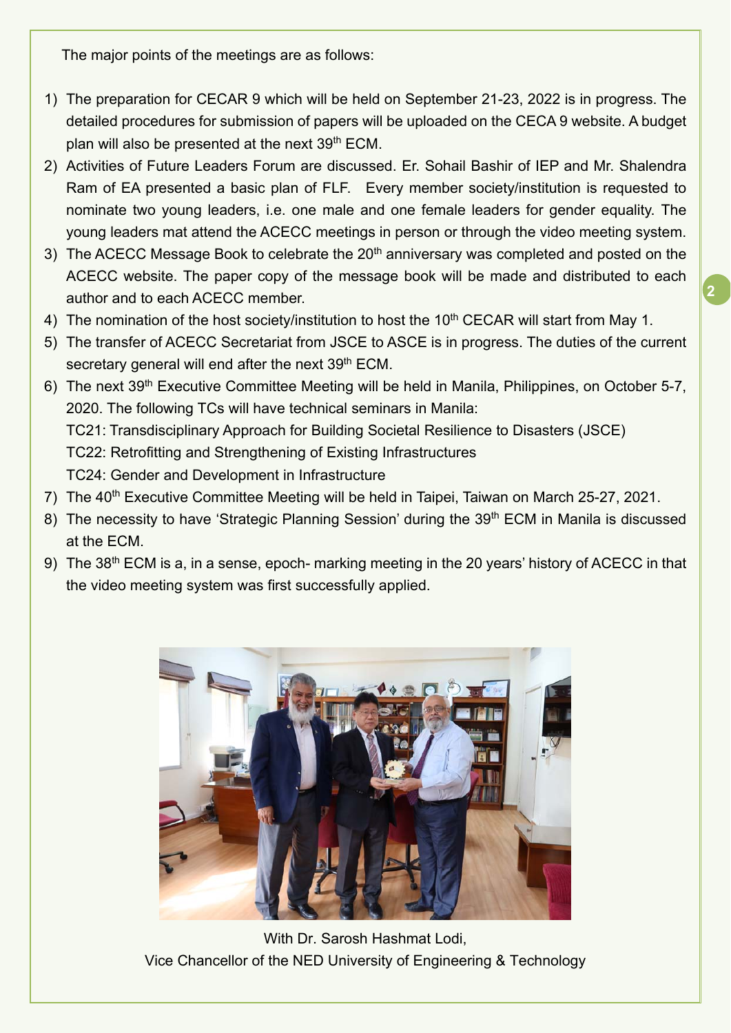The major points of the meetings are as follows:

- 1) The preparation for CECAR 9 which will be held on September 21-23, 2022 is in progress. The detailed procedures for submission of papers will be uploaded on the CECA 9 website. A budget plan will also be presented at the next 39<sup>th</sup> ECM.
- 2) Activities of Future Leaders Forum are discussed. Er. Sohail Bashir of IEP and Mr. Shalendra Ram of EA presented a basic plan of FLF. Every member society/institution is requested to nominate two young leaders, i.e. one male and one female leaders for gender equality. The young leaders mat attend the ACECC meetings in person or through the video meeting system.
- 3) The ACECC Message Book to celebrate the  $20<sup>th</sup>$  anniversary was completed and posted on the ACECC website. The paper copy of the message book will be made and distributed to each author and to each ACECC member.
- 4) The nomination of the host society/institution to host the 10<sup>th</sup> CECAR will start from May 1.
- 5) The transfer of ACECC Secretariat from JSCE to ASCE is in progress. The duties of the current secretary general will end after the next 39<sup>th</sup> ECM.
- 6) The next 39th Executive Committee Meeting will be held in Manila, Philippines, on October 5-7, 2020. The following TCs will have technical seminars in Manila: TC21: Transdisciplinary Approach for Building Societal Resilience to Disasters (JSCE) TC22: Retrofitting and Strengthening of Existing Infrastructures TC24: Gender and Development in Infrastructure
- 7) The 40<sup>th</sup> Executive Committee Meeting will be held in Taipei, Taiwan on March 25-27, 2021.
- 8) The necessity to have 'Strategic Planning Session' during the 39<sup>th</sup> ECM in Manila is discussed at the ECM.
- 9) The 38<sup>th</sup> ECM is a, in a sense, epoch- marking meeting in the 20 years' history of ACECC in that the video meeting system was first successfully applied.



With Dr. Sarosh Hashmat Lodi, Vice Chancellor of the NED University of Engineering & Technology

**2**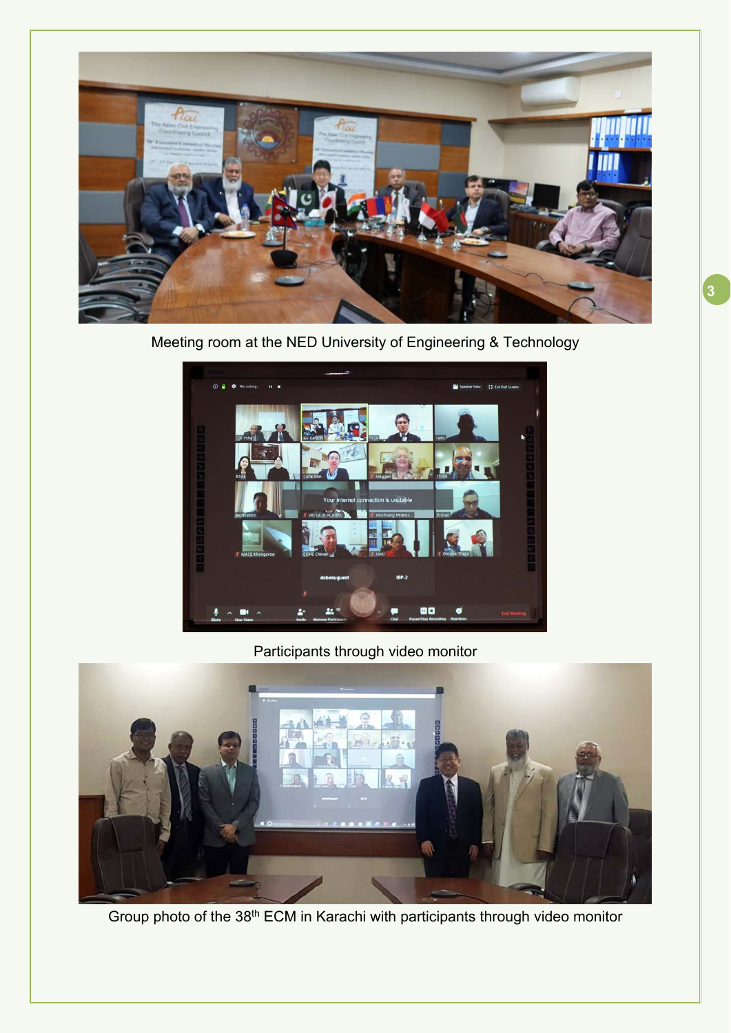

Meeting room at the NED University of Engineering & Technology



Participants through video monitor



Group photo of the 38th ECM in Karachi with participants through video monitor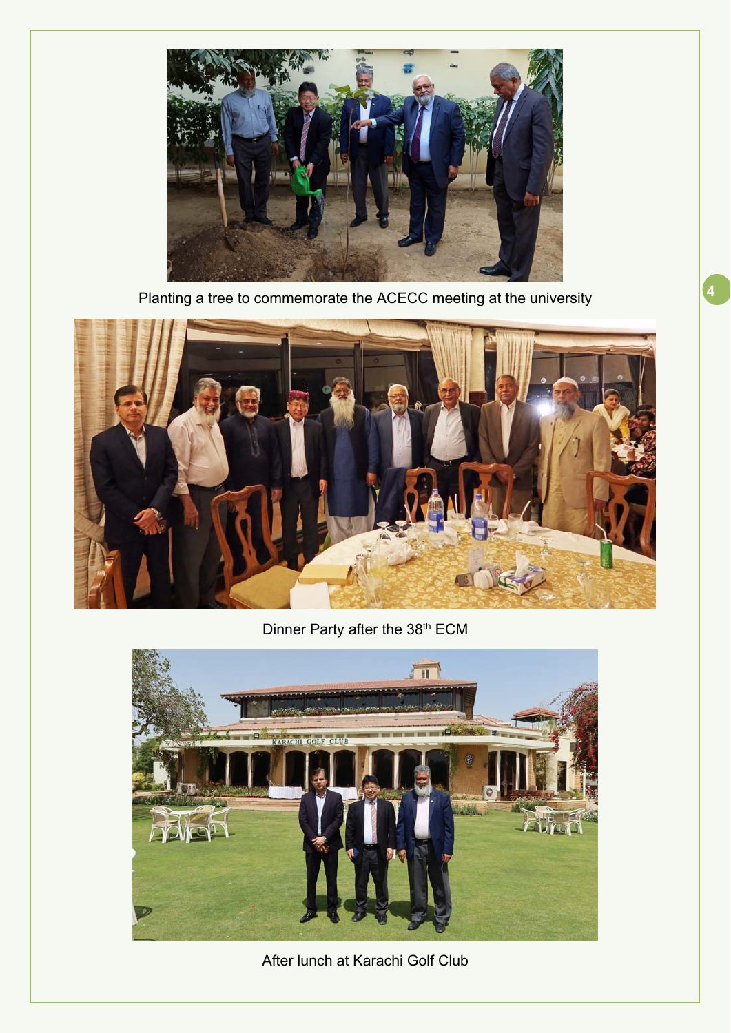

**<sup>4</sup>** Planting a tree to commemorate the ACECC meeting at the university



Dinner Party after the 38<sup>th</sup> ECM



After lunch at Karachi Golf Club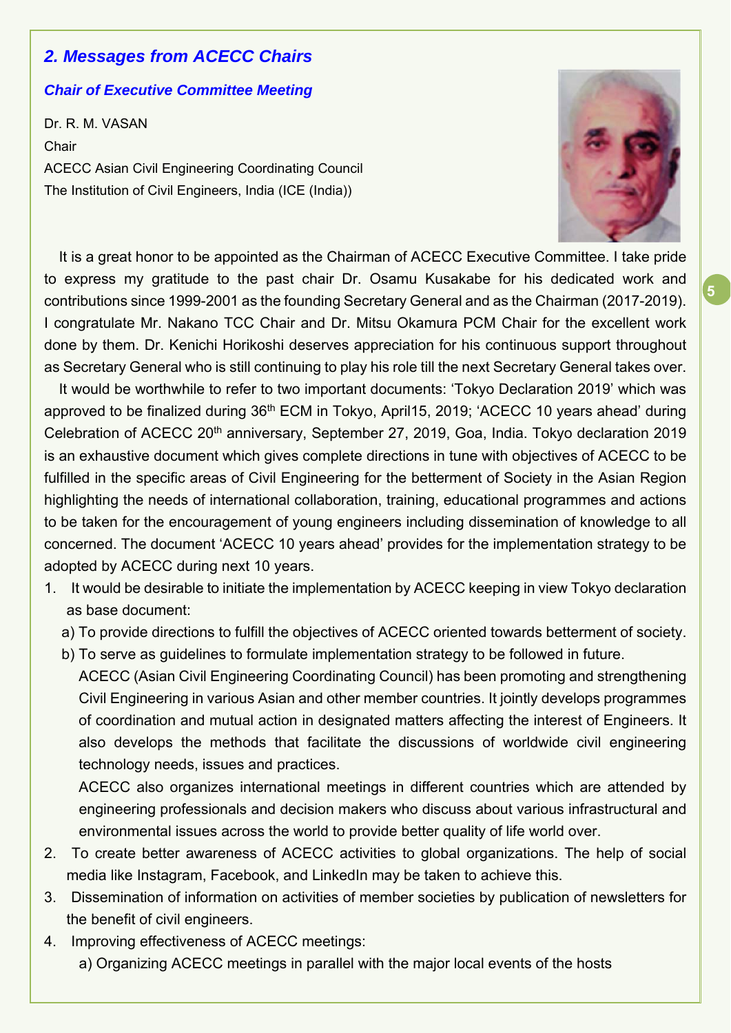# *2. Messages from ACECC Chairs*

#### *Chair of Executive Committee Meeting*

Dr. R. M. VASAN Chair ACECC Asian Civil Engineering Coordinating Council The Institution of Civil Engineers, India (ICE (India))



**5**

It is a great honor to be appointed as the Chairman of ACECC Executive Committee. I take pride to express my gratitude to the past chair Dr. Osamu Kusakabe for his dedicated work and contributions since 1999-2001 as the founding Secretary General and as the Chairman (2017-2019). I congratulate Mr. Nakano TCC Chair and Dr. Mitsu Okamura PCM Chair for the excellent work done by them. Dr. Kenichi Horikoshi deserves appreciation for his continuous support throughout as Secretary General who is still continuing to play his role till the next Secretary General takes over.

It would be worthwhile to refer to two important documents: 'Tokyo Declaration 2019' which was approved to be finalized during 36<sup>th</sup> ECM in Tokyo, April15, 2019; 'ACECC 10 years ahead' during Celebration of ACECC 20<sup>th</sup> anniversary, September 27, 2019, Goa, India. Tokyo declaration 2019 is an exhaustive document which gives complete directions in tune with objectives of ACECC to be fulfilled in the specific areas of Civil Engineering for the betterment of Society in the Asian Region highlighting the needs of international collaboration, training, educational programmes and actions to be taken for the encouragement of young engineers including dissemination of knowledge to all concerned. The document 'ACECC 10 years ahead' provides for the implementation strategy to be adopted by ACECC during next 10 years.

- 1. It would be desirable to initiate the implementation by ACECC keeping in view Tokyo declaration as base document:
	- a) To provide directions to fulfill the objectives of ACECC oriented towards betterment of society.
	- b) To serve as guidelines to formulate implementation strategy to be followed in future. ACECC (Asian Civil Engineering Coordinating Council) has been promoting and strengthening Civil Engineering in various Asian and other member countries. It jointly develops programmes of coordination and mutual action in designated matters affecting the interest of Engineers. It also develops the methods that facilitate the discussions of worldwide civil engineering technology needs, issues and practices.

ACECC also organizes international meetings in different countries which are attended by engineering professionals and decision makers who discuss about various infrastructural and environmental issues across the world to provide better quality of life world over.

- 2. To create better awareness of ACECC activities to global organizations. The help of social media like Instagram, Facebook, and LinkedIn may be taken to achieve this.
- 3. Dissemination of information on activities of member societies by publication of newsletters for the benefit of civil engineers.
- 4. Improving effectiveness of ACECC meetings:
	- a) Organizing ACECC meetings in parallel with the major local events of the hosts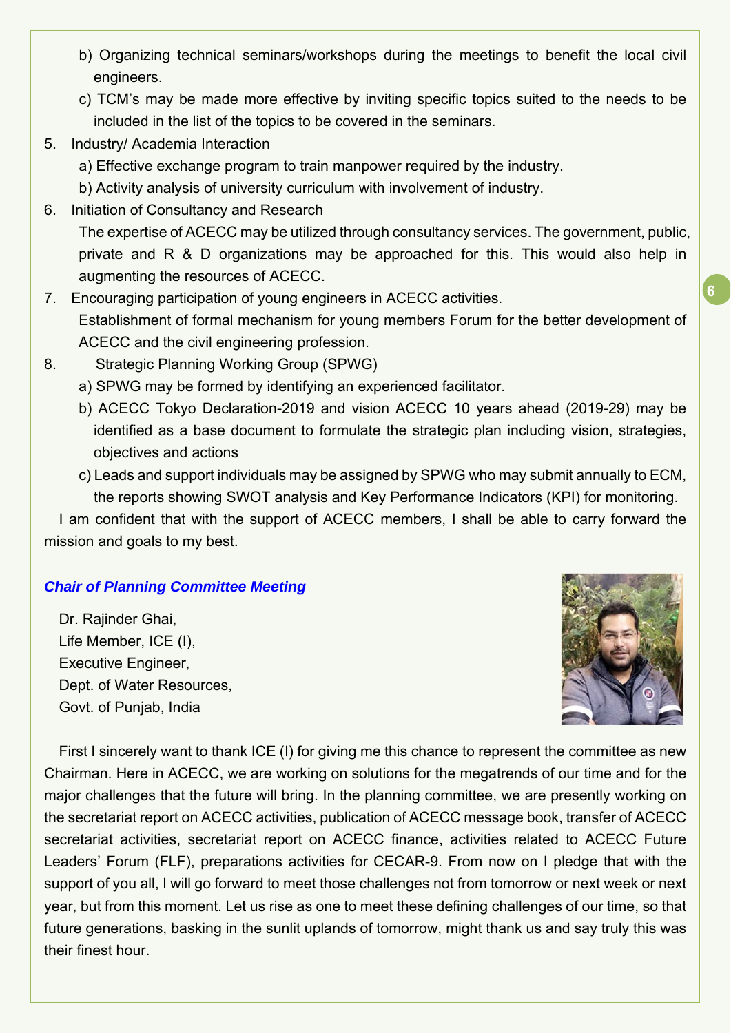- b) Organizing technical seminars/workshops during the meetings to benefit the local civil engineers.
- c) TCM's may be made more effective by inviting specific topics suited to the needs to be included in the list of the topics to be covered in the seminars.
- 5. Industry/ Academia Interaction
	- a) Effective exchange program to train manpower required by the industry.
	- b) Activity analysis of university curriculum with involvement of industry.
- 6. Initiation of Consultancy and Research

The expertise of ACECC may be utilized through consultancy services. The government, public, private and R & D organizations may be approached for this. This would also help in augmenting the resources of ACECC.

- 7. Encouraging participation of young engineers in ACECC activities. Establishment of formal mechanism for young members Forum for the better development of ACECC and the civil engineering profession.
- 8. Strategic Planning Working Group (SPWG)
	- a) SPWG may be formed by identifying an experienced facilitator.
	- b) ACECC Tokyo Declaration-2019 and vision ACECC 10 years ahead (2019-29) may be identified as a base document to formulate the strategic plan including vision, strategies, objectives and actions
	- c) Leads and support individuals may be assigned by SPWG who may submit annually to ECM, the reports showing SWOT analysis and Key Performance Indicators (KPI) for monitoring.

I am confident that with the support of ACECC members, I shall be able to carry forward the mission and goals to my best.

## *Chair of Planning Committee Meeting*

Dr. Rajinder Ghai, Life Member, ICE (I), Executive Engineer, Dept. of Water Resources, Govt. of Punjab, India



First I sincerely want to thank ICE (I) for giving me this chance to represent the committee as new Chairman. Here in ACECC, we are working on solutions for the megatrends of our time and for the major challenges that the future will bring. In the planning committee, we are presently working on the secretariat report on ACECC activities, publication of ACECC message book, transfer of ACECC secretariat activities, secretariat report on ACECC finance, activities related to ACECC Future Leaders' Forum (FLF), preparations activities for CECAR-9. From now on I pledge that with the support of you all, I will go forward to meet those challenges not from tomorrow or next week or next year, but from this moment. Let us rise as one to meet these defining challenges of our time, so that future generations, basking in the sunlit uplands of tomorrow, might thank us and say truly this was their finest hour.

**6**